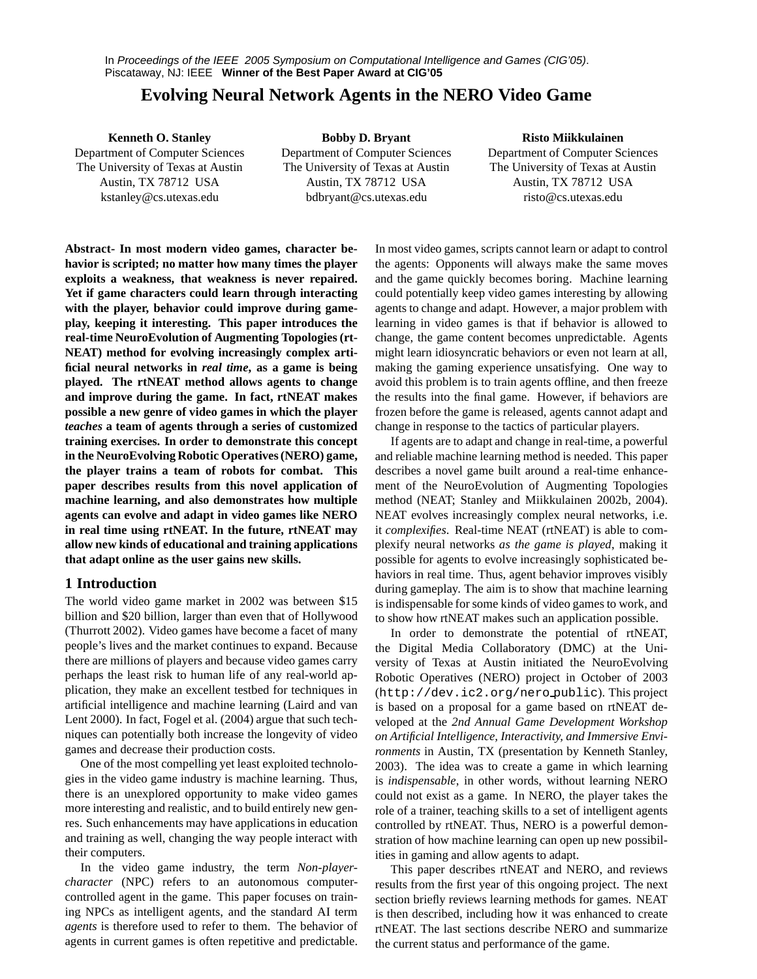In Proceedings of the IEEE 2005 Symposium on Computational Intelligence and Games (CIG'05). Piscataway, NJ: IEEE **Winner of the Best Paper Award at CIG'05**

# **Evolving Neural Network Agents in the NERO Video Game**

**Kenneth O. Stanley** Department of Computer Sciences The University of Texas at Austin Austin, TX 78712 USA kstanley@cs.utexas.edu

**Bobby D. Bryant** Department of Computer Sciences The University of Texas at Austin Austin, TX 78712 USA bdbryant@cs.utexas.edu

#### **Risto Miikkulainen**

Department of Computer Sciences The University of Texas at Austin Austin, TX 78712 USA risto@cs.utexas.edu

**Abstract- In most modern video games, character behavior is scripted; no matter how many times the player exploits a weakness, that weakness is never repaired. Yet if game characters could learn through interacting with the player, behavior could improve during gameplay, keeping it interesting. This paper introduces the real-time NeuroEvolution of Augmenting Topologies (rt-NEAT) method for evolving increasingly complex artificial neural networks in** *real time***, as a game is being played. The rtNEAT method allows agents to change and improve during the game. In fact, rtNEAT makes possible a new genre of video games in which the player** *teaches* **a team of agents through a series of customized training exercises. In order to demonstrate this concept in the NeuroEvolving Robotic Operatives (NERO) game, the player trains a team of robots for combat. This paper describes results from this novel application of machine learning, and also demonstrates how multiple agents can evolve and adapt in video games like NERO in real time using rtNEAT. In the future, rtNEAT may allow new kinds of educational and training applications that adapt online as the user gains new skills.**

## **1 Introduction**

The world video game market in 2002 was between \$15 billion and \$20 billion, larger than even that of Hollywood (Thurrott 2002). Video games have become a facet of many people's lives and the market continues to expand. Because there are millions of players and because video games carry perhaps the least risk to human life of any real-world application, they make an excellent testbed for techniques in artificial intelligence and machine learning (Laird and van Lent 2000). In fact, Fogel et al. (2004) argue that such techniques can potentially both increase the longevity of video games and decrease their production costs.

One of the most compelling yet least exploited technologies in the video game industry is machine learning. Thus, there is an unexplored opportunity to make video games more interesting and realistic, and to build entirely new genres. Such enhancements may have applications in education and training as well, changing the way people interact with their computers.

In the video game industry, the term *Non-playercharacter* (NPC) refers to an autonomous computercontrolled agent in the game. This paper focuses on training NPCs as intelligent agents, and the standard AI term *agents* is therefore used to refer to them. The behavior of agents in current games is often repetitive and predictable.

In most video games, scripts cannot learn or adapt to control the agents: Opponents will always make the same moves and the game quickly becomes boring. Machine learning could potentially keep video games interesting by allowing agents to change and adapt. However, a major problem with learning in video games is that if behavior is allowed to change, the game content becomes unpredictable. Agents might learn idiosyncratic behaviors or even not learn at all, making the gaming experience unsatisfying. One way to avoid this problem is to train agents offline, and then freeze the results into the final game. However, if behaviors are frozen before the game is released, agents cannot adapt and change in response to the tactics of particular players.

If agents are to adapt and change in real-time, a powerful and reliable machine learning method is needed. This paper describes a novel game built around a real-time enhancement of the NeuroEvolution of Augmenting Topologies method (NEAT; Stanley and Miikkulainen 2002b, 2004). NEAT evolves increasingly complex neural networks, i.e. it *complexifies*. Real-time NEAT (rtNEAT) is able to complexify neural networks *as the game is played*, making it possible for agents to evolve increasingly sophisticated behaviors in real time. Thus, agent behavior improves visibly during gameplay. The aim is to show that machine learning is indispensable for some kinds of video games to work, and to show how rtNEAT makes such an application possible.

In order to demonstrate the potential of rtNEAT, the Digital Media Collaboratory (DMC) at the University of Texas at Austin initiated the NeuroEvolving Robotic Operatives (NERO) project in October of 2003 (http://dev.ic2.org/nero public). This project is based on a proposal for a game based on rtNEAT developed at the *2nd Annual Game Development Workshop on Artificial Intelligence, Interactivity, and Immersive Environments* in Austin, TX (presentation by Kenneth Stanley, 2003). The idea was to create a game in which learning is *indispensable*, in other words, without learning NERO could not exist as a game. In NERO, the player takes the role of a trainer, teaching skills to a set of intelligent agents controlled by rtNEAT. Thus, NERO is a powerful demonstration of how machine learning can open up new possibilities in gaming and allow agents to adapt.

This paper describes rtNEAT and NERO, and reviews results from the first year of this ongoing project. The next section briefly reviews learning methods for games. NEAT is then described, including how it was enhanced to create rtNEAT. The last sections describe NERO and summarize the current status and performance of the game.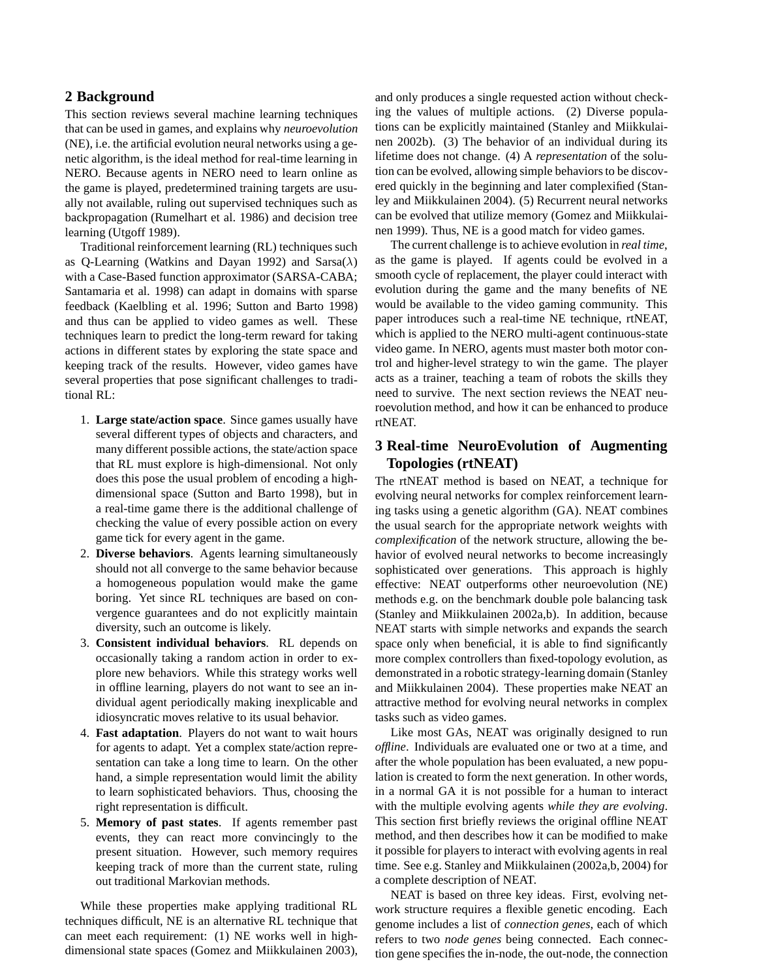# **2 Background**

This section reviews several machine learning techniques that can be used in games, and explains why *neuroevolution* (NE), i.e. the artificial evolution neural networks using a genetic algorithm, is the ideal method for real-time learning in NERO. Because agents in NERO need to learn online as the game is played, predetermined training targets are usually not available, ruling out supervised techniques such as backpropagation (Rumelhart et al. 1986) and decision tree learning (Utgoff 1989).

Traditional reinforcement learning (RL) techniques such as Q-Learning (Watkins and Dayan 1992) and Sarsa( $\lambda$ ) with a Case-Based function approximator (SARSA-CABA; Santamaria et al. 1998) can adapt in domains with sparse feedback (Kaelbling et al. 1996; Sutton and Barto 1998) and thus can be applied to video games as well. These techniques learn to predict the long-term reward for taking actions in different states by exploring the state space and keeping track of the results. However, video games have several properties that pose significant challenges to traditional RL:

- 1. **Large state/action space**. Since games usually have several different types of objects and characters, and many different possible actions, the state/action space that RL must explore is high-dimensional. Not only does this pose the usual problem of encoding a highdimensional space (Sutton and Barto 1998), but in a real-time game there is the additional challenge of checking the value of every possible action on every game tick for every agent in the game.
- 2. **Diverse behaviors**. Agents learning simultaneously should not all converge to the same behavior because a homogeneous population would make the game boring. Yet since RL techniques are based on convergence guarantees and do not explicitly maintain diversity, such an outcome is likely.
- 3. **Consistent individual behaviors**. RL depends on occasionally taking a random action in order to explore new behaviors. While this strategy works well in offline learning, players do not want to see an individual agent periodically making inexplicable and idiosyncratic moves relative to its usual behavior.
- 4. **Fast adaptation**. Players do not want to wait hours for agents to adapt. Yet a complex state/action representation can take a long time to learn. On the other hand, a simple representation would limit the ability to learn sophisticated behaviors. Thus, choosing the right representation is difficult.
- 5. **Memory of past states**. If agents remember past events, they can react more convincingly to the present situation. However, such memory requires keeping track of more than the current state, ruling out traditional Markovian methods.

While these properties make applying traditional RL techniques difficult, NE is an alternative RL technique that can meet each requirement: (1) NE works well in highdimensional state spaces (Gomez and Miikkulainen 2003),

and only produces a single requested action without checking the values of multiple actions. (2) Diverse populations can be explicitly maintained (Stanley and Miikkulainen 2002b). (3) The behavior of an individual during its lifetime does not change. (4) A *representation* of the solution can be evolved, allowing simple behaviors to be discovered quickly in the beginning and later complexified (Stanley and Miikkulainen 2004). (5) Recurrent neural networks can be evolved that utilize memory (Gomez and Miikkulainen 1999). Thus, NE is a good match for video games.

The current challenge is to achieve evolution in *real time*, as the game is played. If agents could be evolved in a smooth cycle of replacement, the player could interact with evolution during the game and the many benefits of NE would be available to the video gaming community. This paper introduces such a real-time NE technique, rtNEAT, which is applied to the NERO multi-agent continuous-state video game. In NERO, agents must master both motor control and higher-level strategy to win the game. The player acts as a trainer, teaching a team of robots the skills they need to survive. The next section reviews the NEAT neuroevolution method, and how it can be enhanced to produce rtNEAT.

# **3 Real-time NeuroEvolution of Augmenting Topologies (rtNEAT)**

The rtNEAT method is based on NEAT, a technique for evolving neural networks for complex reinforcement learning tasks using a genetic algorithm (GA). NEAT combines the usual search for the appropriate network weights with *complexification* of the network structure, allowing the behavior of evolved neural networks to become increasingly sophisticated over generations. This approach is highly effective: NEAT outperforms other neuroevolution (NE) methods e.g. on the benchmark double pole balancing task (Stanley and Miikkulainen 2002a,b). In addition, because NEAT starts with simple networks and expands the search space only when beneficial, it is able to find significantly more complex controllers than fixed-topology evolution, as demonstrated in a robotic strategy-learning domain (Stanley and Miikkulainen 2004). These properties make NEAT an attractive method for evolving neural networks in complex tasks such as video games.

Like most GAs, NEAT was originally designed to run *offline*. Individuals are evaluated one or two at a time, and after the whole population has been evaluated, a new population is created to form the next generation. In other words, in a normal GA it is not possible for a human to interact with the multiple evolving agents *while they are evolving*. This section first briefly reviews the original offline NEAT method, and then describes how it can be modified to make it possible for players to interact with evolving agents in real time. See e.g. Stanley and Miikkulainen (2002a,b, 2004) for a complete description of NEAT.

NEAT is based on three key ideas. First, evolving network structure requires a flexible genetic encoding. Each genome includes a list of *connection genes*, each of which refers to two *node genes* being connected. Each connection gene specifies the in-node, the out-node, the connection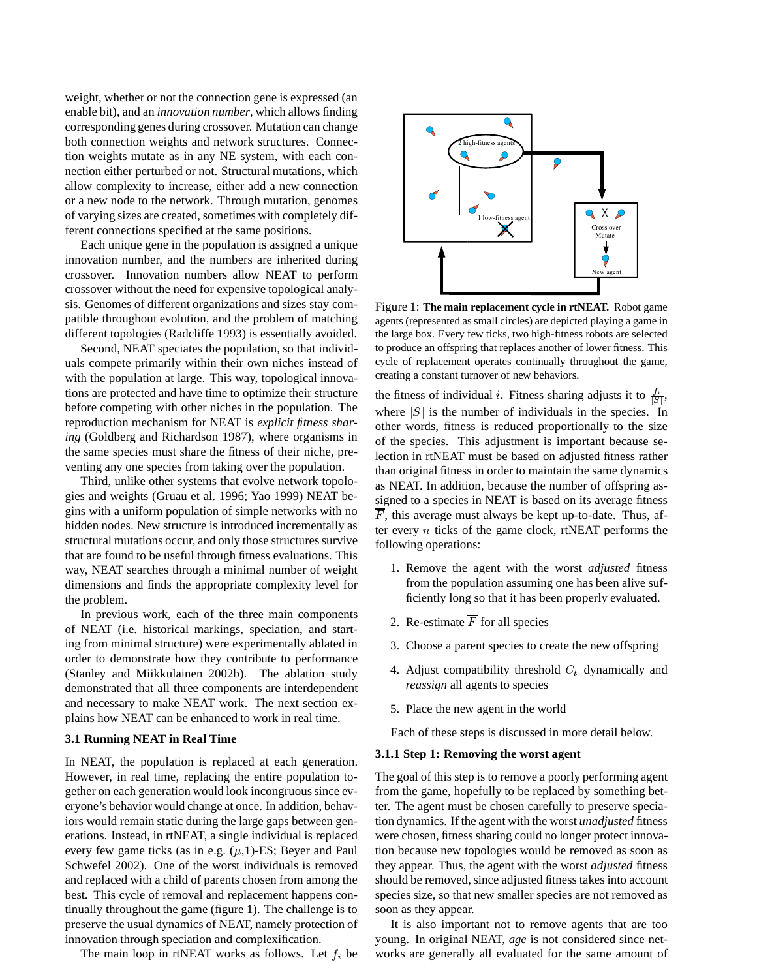weight, whether or not the connection gene is expressed (an enable bit), and an *innovation number*, which allows finding corresponding genes during crossover. Mutation can change both connection weights and network structures. Connection weights mutate as in any NE system, with each connection either perturbed or not. Structural mutations, which allow complexity to increase, either add a new connection or a new node to the network. Through mutation, genomes of varying sizes are created, sometimes with completely different connections specified at the same positions.

Each unique gene in the population is assigned a unique innovation number, and the numbers are inherited during crossover. Innovation numbers allow NEAT to perform crossover without the need for expensive topological analysis. Genomes of different organizations and sizes stay compatible throughout evolution, and the problem of matching different topologies (Radcliffe 1993) is essentially avoided.

Second, NEAT speciates the population, so that individuals compete primarily within their own niches instead of with the population at large. This way, topological innovations are protected and have time to optimize their structure before competing with other niches in the population. The reproduction mechanism for NEAT is *explicit fitness sharing* (Goldberg and Richardson 1987), where organisms in the same species must share the fitness of their niche, preventing any one species from taking over the population.

Third, unlike other systems that evolve network topologies and weights (Gruau et al. 1996; Yao 1999) NEAT begins with a uniform population of simple networks with no hidden nodes. New structure is introduced incrementally as structural mutations occur, and only those structures survive that are found to be useful through fitness evaluations. This way, NEAT searches through a minimal number of weight dimensions and finds the appropriate complexity level for the problem.

In previous work, each of the three main components of NEAT (i.e. historical markings, speciation, and starting from minimal structure) were experimentally ablated in order to demonstrate how they contribute to performance (Stanley and Miikkulainen 2002b). The ablation study demonstrated that all three components are interdependent and necessary to make NEAT work. The next section explains how NEAT can be enhanced to work in real time.

### **3.1 Running NEAT in Real Time**

In NEAT, the population is replaced at each generation. However, in real time, replacing the entire population together on each generation would look incongruous since everyone's behavior would change at once. In addition, behaviors would remain static during the large gaps between generations. Instead, in rtNEAT, a single individual is replaced every few game ticks (as in e.g.  $(\mu,1)$ -ES; Beyer and Paul Schwefel 2002). One of the worst individuals is removed and replaced with a child of parents chosen from among the best. This cycle of removal and replacement happens continually throughout the game (figure 1). The challenge is to preserve the usual dynamics of NEAT, namely protection of innovation through speciation and complexification.

The main loop in rtNEAT works as follows. Let  $f_i$  be



Figure 1: **The main replacement cycle in rtNEAT.** Robot game agents (represented as small circles) are depicted playing a game in the large box. Every few ticks, two high-fitness robots are selected to produce an offspring that replaces another of lower fitness. This cycle of replacement operates continually throughout the game, creating a constant turnover of new behaviors.

the fitness of individual *i*. Fitness sharing adjusts it to  $\frac{f_i}{|S|}$ , where  $|S|$  is the number of individuals in the species. In other words, fitness is reduced proportionally to the size of the species. This adjustment is important because selection in rtNEAT must be based on adjusted fitness rather than original fitness in order to maintain the same dynamics as NEAT. In addition, because the number of offspring assigned to a species in NEAT is based on its average fitness  $\overline{F}$ , this average must always be kept up-to-date. Thus, after every <sup>n</sup> ticks of the game clock, rtNEAT performs the following operations:

- 1. Remove the agent with the worst *adjusted* fitness from the population assuming one has been alive sufficiently long so that it has been properly evaluated.
- 2. Re-estimate  $\overline{F}$  for all species
- 3. Choose a parent species to create the new offspring
- 4. Adjust compatibility threshold  $C_t$  dynamically and *reassign* all agents to species
- 5. Place the new agent in the world

Each of these steps is discussed in more detail below.

#### **3.1.1 Step 1: Removing the worst agent**

The goal of this step is to remove a poorly performing agent from the game, hopefully to be replaced by something better. The agent must be chosen carefully to preserve speciation dynamics. If the agent with the worst *unadjusted* fitness were chosen, fitness sharing could no longer protect innovation because new topologies would be removed as soon as they appear. Thus, the agent with the worst *adjusted* fitness should be removed, since adjusted fitness takes into account species size, so that new smaller species are not removed as soon as they appear.

It is also important not to remove agents that are too young. In original NEAT, *age* is not considered since networks are generally all evaluated for the same amount of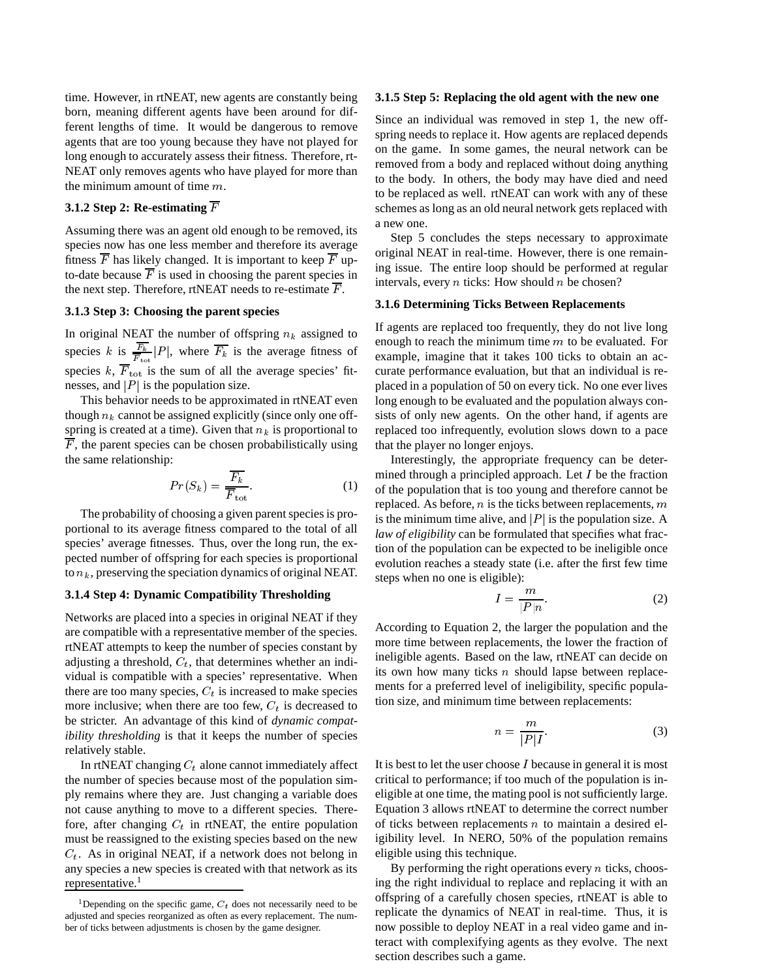time. However, in rtNEAT, new agents are constantly being born, meaning different agents have been around for different lengths of time. It would be dangerous to remove agents that are too young because they have not played for long enough to accurately assess their fitness. Therefore, rt-NEAT only removes agents who have played for more than the minimum amount of time  $m$ .

## **3.1.2 Step 2: Re-estimating** <sup>F</sup>

Assuming there was an agent old enough to be removed, its species now has one less member and therefore its average fitness  $\overline{F}$  has likely changed. It is important to keep  $\overline{F}$  upto-date because  $\overline{F}$  is used in choosing the parent species in the next step. Therefore, rtNEAT needs to re-estimate  $\overline{F}$ .

### **3.1.3 Step 3: Choosing the parent species**

In original NEAT the number of offspring  $n_k$  assigned to species k is  $\frac{F_k}{F}$  |P|, where  $F_k$  is the average fitness of species k,  $\overline{F}_{\text{tot}}$  is the sum of all the average species' fitnesses, and  $|P|$  is the population size.

This behavior needs to be approximated in rtNEAT even though  $n_k$  cannot be assigned explicitly (since only one offspring is created at a time). Given that  $n_k$  is proportional to  $\overline{F}$ , the parent species can be chosen probabilistically using the same relationship:

$$
Pr(S_k) = \frac{F_k}{\overline{F}_{\text{tot}}}.\tag{1}
$$

The probability of choosing a given parent species is proportional to its average fitness compared to the total of all species' average fitnesses. Thus, over the long run, the expected number of offspring for each species is proportional to  $n_k$ , preserving the speciation dynamics of original NEAT.

### **3.1.4 Step 4: Dynamic Compatibility Thresholding**

Networks are placed into a species in original NEAT if they are compatible with a representative member of the species. rtNEAT attempts to keep the number of species constant by adjusting a threshold,  $C_t$ , that determines whether an individual is compatible with a species' representative. When there are too many species,  $C_t$  is increased to make species more inclusive; when there are too few,  $C_t$  is decreased to be stricter. An advantage of this kind of *dynamic compatibility thresholding* is that it keeps the number of species relatively stable.

In rtNEAT changing  $C_t$  alone cannot immediately affect the number of species because most of the population simply remains where they are. Just changing a variable does not cause anything to move to a different species. Therefore, after changing  $C_t$  in rtNEAT, the entire population must be reassigned to the existing species based on the new  $C_t$ . As in original NEAT, if a network does not belong in any species a new species is created with that network as its representative. $<sup>1</sup>$ </sup>

#### **3.1.5 Step 5: Replacing the old agent with the new one**

Since an individual was removed in step 1, the new offspring needs to replace it. How agents are replaced depends on the game. In some games, the neural network can be removed from a body and replaced without doing anything to the body. In others, the body may have died and need to be replaced as well. rtNEAT can work with any of these schemes as long as an old neural network gets replaced with a new one.

Step 5 concludes the steps necessary to approximate original NEAT in real-time. However, there is one remaining issue. The entire loop should be performed at regular intervals, every *n* ticks: How should *n* be chosen?

### **3.1.6 Determining Ticks Between Replacements**

If agents are replaced too frequently, they do not live long enough to reach the minimum time <sup>m</sup> to be evaluated. For example, imagine that it takes 100 ticks to obtain an accurate performance evaluation, but that an individual is replaced in a population of 50 on every tick. No one ever lives long enough to be evaluated and the population always consists of only new agents. On the other hand, if agents are replaced too infrequently, evolution slows down to a pace that the player no longer enjoys.

Interestingly, the appropriate frequency can be determined through a principled approach. Let  $I$  be the fraction of the population that is too young and therefore cannot be replaced. As before,  $n$  is the ticks between replacements,  $m$ is the minimum time alive, and |P| is the population size. A *law of eligibility* can be formulated that specifies what fraction of the population can be expected to be ineligible once evolution reaches a steady state (i.e. after the first few time steps when no one is eligible):

$$
I = \frac{m}{|P|n}.\tag{2}
$$

According to Equation 2, the larger the population and the more time between replacements, the lower the fraction of ineligible agents. Based on the law, rtNEAT can decide on its own how many ticks  $n$  should lapse between replacements for a preferred level of ineligibility, specific population size, and minimum time between replacements:

$$
n = \frac{m}{|P|I}.\tag{3}
$$

It is best to let the user choose <sup>I</sup> because in general it is most critical to performance; if too much of the population is ineligible at one time, the mating pool is not sufficiently large. Equation 3 allows rtNEAT to determine the correct number of ticks between replacements <sup>n</sup> to maintain a desired eligibility level. In NERO, 50% of the population remains eligible using this technique.

By performing the right operations every  $n$  ticks, choosing the right individual to replace and replacing it with an offspring of a carefully chosen species, rtNEAT is able to replicate the dynamics of NEAT in real-time. Thus, it is now possible to deploy NEAT in a real video game and interact with complexifying agents as they evolve. The next section describes such a game.

<sup>&</sup>lt;sup>1</sup>Depending on the specific game,  $C_t$  does not necessarily need to be adjusted and species reorganized as often as every replacement. The number of ticks between adjustments is chosen by the game designer.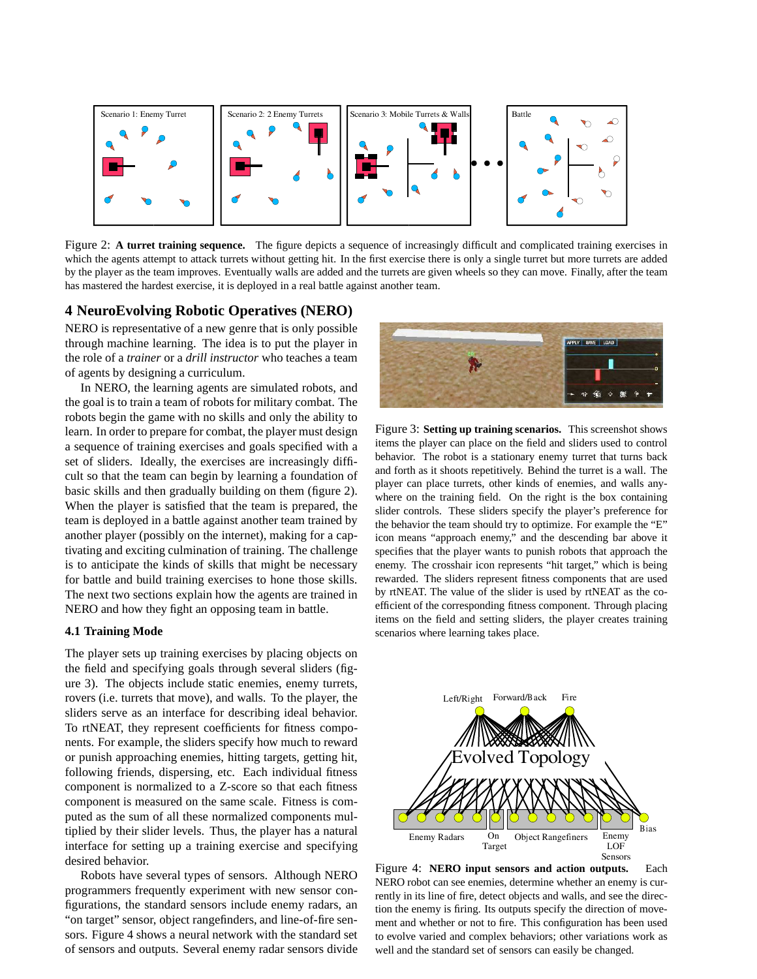

Figure 2: **A turret training sequence.** The figure depicts a sequence of increasingly difficult and complicated training exercises in which the agents attempt to attack turrets without getting hit. In the first exercise there is only a single turret but more turrets are added by the player as the team improves. Eventually walls are added and the turrets are given wheels so they can move. Finally, after the team has mastered the hardest exercise, it is deployed in a real battle against another team.

## **4 NeuroEvolving Robotic Operatives (NERO)**

NERO is representative of a new genre that is only possible through machine learning. The idea is to put the player in the role of a *trainer* or a *drill instructor* who teaches a team of agents by designing a curriculum.

In NERO, the learning agents are simulated robots, and the goal is to train a team of robots for military combat. The robots begin the game with no skills and only the ability to learn. In order to prepare for combat, the player must design a sequence of training exercises and goals specified with a set of sliders. Ideally, the exercises are increasingly difficult so that the team can begin by learning a foundation of basic skills and then gradually building on them (figure 2). When the player is satisfied that the team is prepared, the team is deployed in a battle against another team trained by another player (possibly on the internet), making for a captivating and exciting culmination of training. The challenge is to anticipate the kinds of skills that might be necessary for battle and build training exercises to hone those skills. The next two sections explain how the agents are trained in NERO and how they fight an opposing team in battle.

## **4.1 Training Mode**

The player sets up training exercises by placing objects on the field and specifying goals through several sliders (figure 3). The objects include static enemies, enemy turrets, rovers (i.e. turrets that move), and walls. To the player, the sliders serve as an interface for describing ideal behavior. To rtNEAT, they represent coefficients for fitness components. For example, the sliders specify how much to reward or punish approaching enemies, hitting targets, getting hit, following friends, dispersing, etc. Each individual fitness component is normalized to a Z-score so that each fitness component is measured on the same scale. Fitness is computed as the sum of all these normalized components multiplied by their slider levels. Thus, the player has a natural interface for setting up a training exercise and specifying desired behavior.

Robots have several types of sensors. Although NERO programmers frequently experiment with new sensor configurations, the standard sensors include enemy radars, an "on target" sensor, object rangefinders, and line-of-fire sensors. Figure 4 shows a neural network with the standard set of sensors and outputs. Several enemy radar sensors divide



Figure 3: **Setting up training scenarios.** This screenshot shows items the player can place on the field and sliders used to control behavior. The robot is a stationary enemy turret that turns back and forth as it shoots repetitively. Behind the turret is a wall. The player can place turrets, other kinds of enemies, and walls anywhere on the training field. On the right is the box containing slider controls. These sliders specify the player's preference for the behavior the team should try to optimize. For example the "E" icon means "approach enemy," and the descending bar above it specifies that the player wants to punish robots that approach the enemy. The crosshair icon represents "hit target," which is being rewarded. The sliders represent fitness components that are used by rtNEAT. The value of the slider is used by rtNEAT as the coefficient of the corresponding fitness component. Through placing items on the field and setting sliders, the player creates training scenarios where learning takes place.



Figure 4: **NERO input sensors and action outputs.** Each NERO robot can see enemies, determine whether an enemy is currently in its line of fire, detect objects and walls, and see the direction the enemy is firing. Its outputs specify the direction of movement and whether or not to fire. This configuration has been used to evolve varied and complex behaviors; other variations work as well and the standard set of sensors can easily be changed.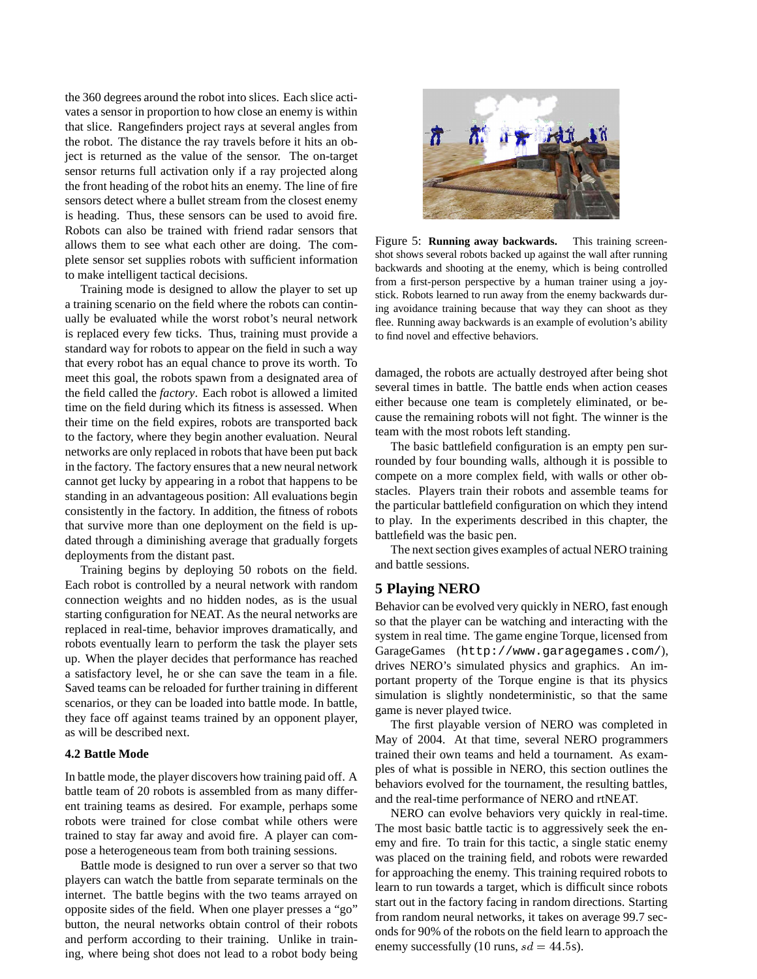the 360 degrees around the robot into slices. Each slice activates a sensor in proportion to how close an enemy is within that slice. Rangefinders project rays at several angles from the robot. The distance the ray travels before it hits an object is returned as the value of the sensor. The on-target sensor returns full activation only if a ray projected along the front heading of the robot hits an enemy. The line of fire sensors detect where a bullet stream from the closest enemy is heading. Thus, these sensors can be used to avoid fire. Robots can also be trained with friend radar sensors that allows them to see what each other are doing. The complete sensor set supplies robots with sufficient information to make intelligent tactical decisions.

Training mode is designed to allow the player to set up a training scenario on the field where the robots can continually be evaluated while the worst robot's neural network is replaced every few ticks. Thus, training must provide a standard way for robots to appear on the field in such a way that every robot has an equal chance to prove its worth. To meet this goal, the robots spawn from a designated area of the field called the *factory*. Each robot is allowed a limited time on the field during which its fitness is assessed. When their time on the field expires, robots are transported back to the factory, where they begin another evaluation. Neural networks are only replaced in robots that have been put back in the factory. The factory ensures that a new neural network cannot get lucky by appearing in a robot that happens to be standing in an advantageous position: All evaluations begin consistently in the factory. In addition, the fitness of robots that survive more than one deployment on the field is updated through a diminishing average that gradually forgets deployments from the distant past.

Training begins by deploying 50 robots on the field. Each robot is controlled by a neural network with random connection weights and no hidden nodes, as is the usual starting configuration for NEAT. As the neural networks are replaced in real-time, behavior improves dramatically, and robots eventually learn to perform the task the player sets up. When the player decides that performance has reached a satisfactory level, he or she can save the team in a file. Saved teams can be reloaded for further training in different scenarios, or they can be loaded into battle mode. In battle, they face off against teams trained by an opponent player, as will be described next.

### **4.2 Battle Mode**

In battle mode, the player discovers how training paid off. A battle team of 20 robots is assembled from as many different training teams as desired. For example, perhaps some robots were trained for close combat while others were trained to stay far away and avoid fire. A player can compose a heterogeneous team from both training sessions.

Battle mode is designed to run over a server so that two players can watch the battle from separate terminals on the internet. The battle begins with the two teams arrayed on opposite sides of the field. When one player presses a "go" button, the neural networks obtain control of their robots and perform according to their training. Unlike in training, where being shot does not lead to a robot body being



Figure 5: **Running away backwards.** This training screenshot shows several robots backed up against the wall after running backwards and shooting at the enemy, which is being controlled from a first-person perspective by a human trainer using a joystick. Robots learned to run away from the enemy backwards during avoidance training because that way they can shoot as they flee. Running away backwards is an example of evolution's ability to find novel and effective behaviors.

damaged, the robots are actually destroyed after being shot several times in battle. The battle ends when action ceases either because one team is completely eliminated, or because the remaining robots will not fight. The winner is the team with the most robots left standing.

The basic battlefield configuration is an empty pen surrounded by four bounding walls, although it is possible to compete on a more complex field, with walls or other obstacles. Players train their robots and assemble teams for the particular battlefield configuration on which they intend to play. In the experiments described in this chapter, the battlefield was the basic pen.

The next section gives examples of actual NERO training and battle sessions.

# **5 Playing NERO**

Behavior can be evolved very quickly in NERO, fast enough so that the player can be watching and interacting with the system in real time. The game engine Torque, licensed from GarageGames (http://www.garagegames.com/), drives NERO's simulated physics and graphics. An important property of the Torque engine is that its physics simulation is slightly nondeterministic, so that the same game is never played twice.

The first playable version of NERO was completed in May of 2004. At that time, several NERO programmers trained their own teams and held a tournament. As examples of what is possible in NERO, this section outlines the behaviors evolved for the tournament, the resulting battles, and the real-time performance of NERO and rtNEAT.

NERO can evolve behaviors very quickly in real-time. The most basic battle tactic is to aggressively seek the enemy and fire. To train for this tactic, a single static enemy was placed on the training field, and robots were rewarded for approaching the enemy. This training required robots to learn to run towards a target, which is difficult since robots start out in the factory facing in random directions. Starting from random neural networks, it takes on average 99.7 seconds for 90% of the robots on the field learn to approach the enemy successfully (10 runs,  $sd = 44.5$ s).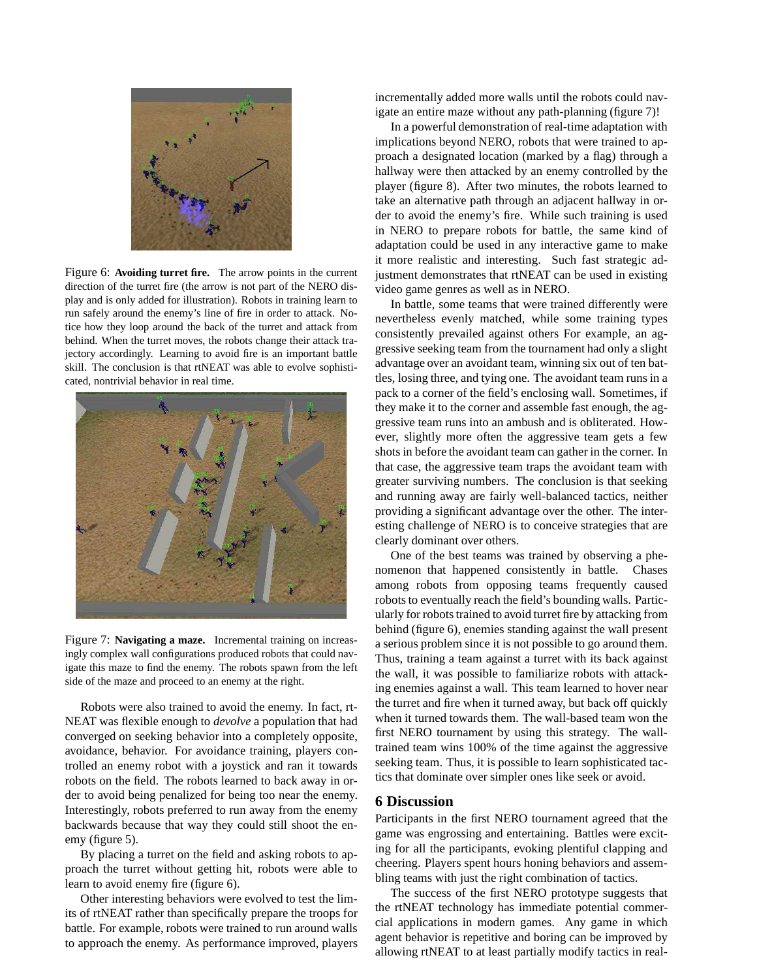

Figure 6: **Avoiding turret fire.** The arrow points in the current direction of the turret fire (the arrow is not part of the NERO display and is only added for illustration). Robots in training learn to run safely around the enemy's line of fire in order to attack. Notice how they loop around the back of the turret and attack from behind. When the turret moves, the robots change their attack trajectory accordingly. Learning to avoid fire is an important battle skill. The conclusion is that rtNEAT was able to evolve sophisticated, nontrivial behavior in real time.



Figure 7: **Navigating a maze.** Incremental training on increasingly complex wall configurations produced robots that could navigate this maze to find the enemy. The robots spawn from the left side of the maze and proceed to an enemy at the right.

Robots were also trained to avoid the enemy. In fact, rt-NEAT was flexible enough to *devolve* a population that had converged on seeking behavior into a completely opposite, avoidance, behavior. For avoidance training, players controlled an enemy robot with a joystick and ran it towards robots on the field. The robots learned to back away in order to avoid being penalized for being too near the enemy. Interestingly, robots preferred to run away from the enemy backwards because that way they could still shoot the enemy (figure 5).

By placing a turret on the field and asking robots to approach the turret without getting hit, robots were able to learn to avoid enemy fire (figure 6).

Other interesting behaviors were evolved to test the limits of rtNEAT rather than specifically prepare the troops for battle. For example, robots were trained to run around walls to approach the enemy. As performance improved, players

incrementally added more walls until the robots could navigate an entire maze without any path-planning (figure 7)!

In a powerful demonstration of real-time adaptation with implications beyond NERO, robots that were trained to approach a designated location (marked by a flag) through a hallway were then attacked by an enemy controlled by the player (figure 8). After two minutes, the robots learned to take an alternative path through an adjacent hallway in order to avoid the enemy's fire. While such training is used in NERO to prepare robots for battle, the same kind of adaptation could be used in any interactive game to make it more realistic and interesting. Such fast strategic adjustment demonstrates that rtNEAT can be used in existing video game genres as well as in NERO.

In battle, some teams that were trained differently were nevertheless evenly matched, while some training types consistently prevailed against others For example, an aggressive seeking team from the tournament had only a slight advantage over an avoidant team, winning six out of ten battles, losing three, and tying one. The avoidant team runs in a pack to a corner of the field's enclosing wall. Sometimes, if they make it to the corner and assemble fast enough, the aggressive team runs into an ambush and is obliterated. However, slightly more often the aggressive team gets a few shots in before the avoidant team can gather in the corner. In that case, the aggressive team traps the avoidant team with greater surviving numbers. The conclusion is that seeking and running away are fairly well-balanced tactics, neither providing a significant advantage over the other. The interesting challenge of NERO is to conceive strategies that are clearly dominant over others.

One of the best teams was trained by observing a phenomenon that happened consistently in battle. Chases among robots from opposing teams frequently caused robots to eventually reach the field's bounding walls. Particularly for robots trained to avoid turret fire by attacking from behind (figure 6), enemies standing against the wall present a serious problem since it is not possible to go around them. Thus, training a team against a turret with its back against the wall, it was possible to familiarize robots with attacking enemies against a wall. This team learned to hover near the turret and fire when it turned away, but back off quickly when it turned towards them. The wall-based team won the first NERO tournament by using this strategy. The walltrained team wins 100% of the time against the aggressive seeking team. Thus, it is possible to learn sophisticated tactics that dominate over simpler ones like seek or avoid.

## **6 Discussion**

Participants in the first NERO tournament agreed that the game was engrossing and entertaining. Battles were exciting for all the participants, evoking plentiful clapping and cheering. Players spent hours honing behaviors and assembling teams with just the right combination of tactics.

The success of the first NERO prototype suggests that the rtNEAT technology has immediate potential commercial applications in modern games. Any game in which agent behavior is repetitive and boring can be improved by allowing rtNEAT to at least partially modify tactics in real-